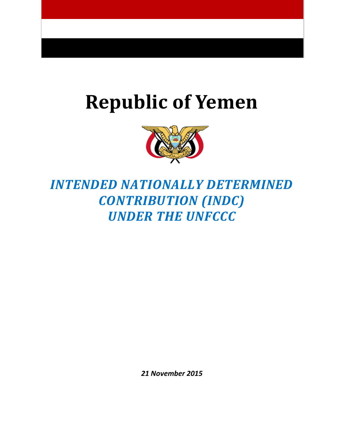# **Republic of Yemen**



# *INTENDED NATIONALLY DETERMINED CONTRIBUTION (INDC) UNDER THE UNFCCC*

*21 November 2015*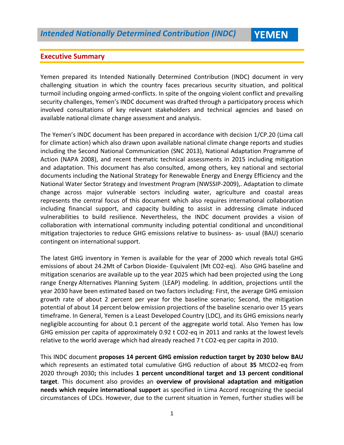#### **Executive Summary**

Yemen prepared its Intended Nationally Determined Contribution (INDC) document in very challenging situation in which the country faces precarious security situation, and political turmoil including ongoing armed-conflicts. In spite of the ongoing violent conflict and prevailing security challenges, Yemen's INDC document was drafted through a participatory process which involved consultations of key relevant stakeholders and technical agencies and based on available national climate change assessment and analysis.

The Yemen's INDC document has been prepared in accordance with decision 1/CP.20 (Lima call for climate action) which also drawn upon available national climate change reports and studies including the Second National Communication (SNC 2013), National Adaptation Programme of Action (NAPA 2008), and recent thematic technical assessments in 2015 including mitigation and adaptation. This document has also consulted, among others, key national and sectorial documents including the National Strategy for Renewable Energy and Energy Efficiency and the National Water Sector Strategy and Investment Program (NWSSIP-2009),. Adaptation to climate change across major vulnerable sectors including water, agriculture and coastal areas represents the central focus of this document which also requires international collaboration including financial support, and capacity building to assist in addressing climate induced vulnerabilities to build resilience. Nevertheless, the INDC document provides a vision of collaboration with international community including potential conditional and unconditional mitigation trajectories to reduce GHG emissions relative to business- as- usual (BAU) scenario contingent on international support.

The latest GHG inventory in Yemen is available for the year of 2000 which reveals total GHG emissions of about 24.2Mt of Carbon Dioxide- Equivalent (Mt CO2-eq). Also GHG baseline and mitigation scenarios are available up to the year 2025 which had been projected using the Long range Energy Alternatives Planning System (LEAP) modeling. In addition, projections until the year 2030 have been estimated based on two factors including: First, the average GHG emission growth rate of about 2 percent per year for the baseline scenario; Second, the mitigation potential of about 14 percent below emission projections of the baseline scenario over 15 years timeframe. In General, Yemen is a Least Developed Country (LDC), and its GHG emissions nearly negligible accounting for about 0.1 percent of the aggregate world total. Also Yemen has low GHG emission per capita of approximately 0.92 t CO2-eq in 2011 and ranks at the lowest levels relative to the world average which had already reached 7 t CO2-eq per capita in 2010.

This INDC document **proposes 14 percent GHG emission reduction target by 2030 below BAU** which represents an estimated total cumulative GHG reduction of about **35** MtCO2-eq from 2020 through 2030**;** this includes **1 percent unconditional target and 13 percent conditional target**. This document also provides an **overview of provisional adaptation and mitigation needs which require international support** as specified in Lima Accord recognizing the special circumstances of LDCs. However, due to the current situation in Yemen, further studies will be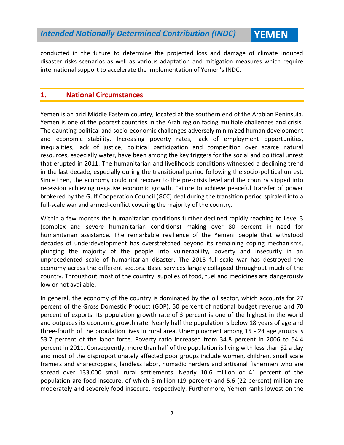conducted in the future to determine the projected loss and damage of climate induced disaster risks scenarios as well as various adaptation and mitigation measures which require international support to accelerate the implementation of Yemen's INDC.

#### **1. National Circumstances**

Yemen is an arid Middle Eastern country, located at the southern end of the Arabian Peninsula. Yemen is one of the poorest countries in the Arab region facing multiple challenges and crisis. The daunting political and socio-economic challenges adversely minimized human development and economic stability. Increasing poverty rates, lack of employment opportunities, inequalities, lack of justice, political participation and competition over scarce natural resources, especially water, have been among the key triggers for the social and political unrest that erupted in 2011. The humanitarian and livelihoods conditions witnessed a declining trend in the last decade, especially during the transitional period following the socio-political unrest. Since then, the economy could not recover to the pre-crisis level and the country slipped into recession achieving negative economic growth. Failure to achieve peaceful transfer of power brokered by the Gulf Cooperation Council (GCC) deal during the transition period spiraled into a full-scale war and armed-conflict covering the majority of the country.

Within a few months the humanitarian conditions further declined rapidly reaching to Level 3 (complex and severe humanitarian conditions) making over 80 percent in need for humanitarian assistance. The remarkable resilience of the Yemeni people that withstood decades of underdevelopment has overstretched beyond its remaining coping mechanisms, plunging the majority of the people into vulnerability, poverty and insecurity in an unprecedented scale of humanitarian disaster. The 2015 full-scale war has destroyed the economy across the different sectors. Basic services largely collapsed throughout much of the country. Throughout most of the country, supplies of food, fuel and medicines are dangerously low or not available.

In general, the economy of the country is dominated by the oil sector, which accounts for 27 percent of the Gross Domestic Product (GDP), 50 percent of national budget revenue and 70 percent of exports. Its population growth rate of 3 percent is one of the highest in the world and outpaces its economic growth rate. Nearly half the population is below 18 years of age and three-fourth of the population lives in rural area. Unemployment among 15 - 24 age groups is 53.7 percent of the labor force. Poverty ratio increased from 34.8 percent in 2006 to 54.4 percent in 2011. Consequently, more than half of the population is living with less than \$2 a day and most of the disproportionately affected poor groups include women, children, small scale framers and sharecroppers, landless labor, nomadic herders and artisanal fishermen who are spread over 133,000 small rural settlements. Nearly 10.6 million or 41 percent of the population are food insecure, of which 5 million (19 percent) and 5.6 (22 percent) million are moderately and severely food insecure, respectively. Furthermore, Yemen ranks lowest on the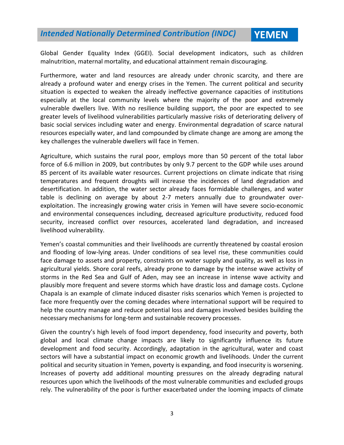Global Gender Equality Index (GGEI). Social development indicators, such as children malnutrition, maternal mortality, and educational attainment remain discouraging.

Furthermore, water and land resources are already under chronic scarcity, and there are already a profound water and energy crises in the Yemen. The current political and security situation is expected to weaken the already ineffective governance capacities of institutions especially at the local community levels where the majority of the poor and extremely vulnerable dwellers live. With no resilience building support, the poor are expected to see greater levels of livelihood vulnerabilities particularly massive risks of deteriorating delivery of basic social services including water and energy. Environmental degradation of scarce natural resources especially water, and land compounded by climate change are among are among the key challenges the vulnerable dwellers will face in Yemen.

Agriculture, which sustains the rural poor, employs more than 50 percent of the total labor force of 6.6 million in 2009, but contributes by only 9.7 percent to the GDP while uses around 85 percent of its available water resources. Current projections on climate indicate that rising temperatures and frequent droughts will increase the incidences of land degradation and desertification. In addition, the water sector already faces formidable challenges, and water table is declining on average by about 2-7 meters annually due to groundwater overexploitation. The increasingly growing water crisis in Yemen will have severe socio-economic and environmental consequences including, decreased agriculture productivity, reduced food security, increased conflict over resources, accelerated land degradation, and increased livelihood vulnerability.

Yemen's coastal communities and their livelihoods are currently threatened by coastal erosion and flooding of low-lying areas. Under conditions of sea level rise, these communities could face damage to assets and property, constraints on water supply and quality, as well as loss in agricultural yields. Shore coral reefs, already prone to damage by the intense wave activity of storms in the Red Sea and Gulf of Aden, may see an increase in intense wave activity and plausibly more frequent and severe storms which have drastic loss and damage costs. Cyclone Chapala is an example of climate induced disaster risks scenarios which Yemen is projected to face more frequently over the coming decades where international support will be required to help the country manage and reduce potential loss and damages involved besides building the necessary mechanisms for long-term and sustainable recovery processes.

Given the country's high levels of food import dependency, food insecurity and poverty, both global and local climate change impacts are likely to significantly influence its future development and food security. Accordingly, adaptation in the agricultural, water and coast sectors will have a substantial impact on economic growth and livelihoods. Under the current political and security situation in Yemen, poverty is expanding, and food insecurity is worsening. Increases of poverty add additional mounting pressures on the already degrading natural resources upon which the livelihoods of the most vulnerable communities and excluded groups rely. The vulnerability of the poor is further exacerbated under the looming impacts of climate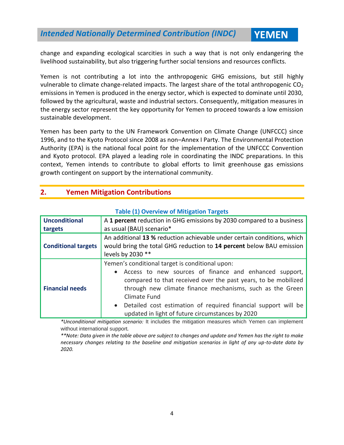change and expanding ecological scarcities in such a way that is not only endangering the livelihood sustainability, but also triggering further social tensions and resources conflicts.

Yemen is not contributing a lot into the anthropogenic GHG emissions, but still highly vulnerable to climate change-related impacts. The largest share of the total anthropogenic  $CO<sub>2</sub>$ emissions in Yemen is produced in the energy sector, which is expected to dominate until 2030, followed by the agricultural, waste and industrial sectors. Consequently, mitigation measures in the energy sector represent the key opportunity for Yemen to proceed towards a low emission sustainable development.

Yemen has been party to the UN Framework Convention on Climate Change (UNFCCC) since 1996, and to the Kyoto Protocol since 2008 as non–Annex I Party. The Environmental Protection Authority (EPA) is the national focal point for the implementation of the UNFCCC Convention and Kyoto protocol. EPA played a leading role in coordinating the INDC preparations. In this context, Yemen intends to contribute to global efforts to limit greenhouse gas emissions growth contingent on support by the international community.

#### **2. Yemen Mitigation Contributions**

| <b>Unconditional</b><br>targets | A 1 percent reduction in GHG emissions by 2030 compared to a business<br>as usual (BAU) scenario*                                                                                                                                                                                                                                                                                             |  |  |  |  |  |  |
|---------------------------------|-----------------------------------------------------------------------------------------------------------------------------------------------------------------------------------------------------------------------------------------------------------------------------------------------------------------------------------------------------------------------------------------------|--|--|--|--|--|--|
| <b>Conditional targets</b>      | An additional 13 % reduction achievable under certain conditions, which<br>would bring the total GHG reduction to 14 percent below BAU emission<br>levels by 2030 **                                                                                                                                                                                                                          |  |  |  |  |  |  |
| <b>Financial needs</b>          | Yemen's conditional target is conditional upon:<br>Access to new sources of finance and enhanced support,<br>$\bullet$<br>compared to that received over the past years, to be mobilized<br>through new climate finance mechanisms, such as the Green<br>Climate Fund<br>• Detailed cost estimation of required financial support will be<br>updated in light of future circumstances by 2020 |  |  |  |  |  |  |

#### **Table (1) Overview of Mitigation Targets**

*\*Unconditional mitigation scenario:* It includes the mitigation measures which Yemen can implement without international support*.*

*\*\*Note: Data given in the table above are subject to changes and update and Yemen has the right to make necessary changes relating to the baseline and mitigation scenarios in light of any up-to-date data by 2020.*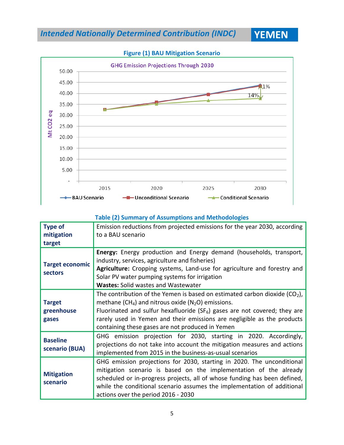



#### **Table (2) Summary of Assumptions and Methodologies**

| <b>Type of</b>                       | Emission reductions from projected emissions for the year 2030, according                                                                                                                                                                                                                                                                                                            |
|--------------------------------------|--------------------------------------------------------------------------------------------------------------------------------------------------------------------------------------------------------------------------------------------------------------------------------------------------------------------------------------------------------------------------------------|
| mitigation                           | to a BAU scenario                                                                                                                                                                                                                                                                                                                                                                    |
| target                               |                                                                                                                                                                                                                                                                                                                                                                                      |
| <b>Target economic</b><br>sectors    | Energy: Energy production and Energy demand (households, transport,<br>industry, services, agriculture and fisheries)<br>Agriculture: Cropping systems, Land-use for agriculture and forestry and<br>Solar PV water pumping systems for irrigation<br><b>Wastes: Solid wastes and Wastewater</b>                                                                                     |
| <b>Target</b><br>greenhouse<br>gases | The contribution of the Yemen is based on estimated carbon dioxide ( $CO2$ ),<br>methane (CH <sub>4</sub> ) and nitrous oxide (N <sub>2</sub> O) emissions.<br>Fluorinated and sulfur hexafluoride (SF <sub>6</sub> ) gases are not covered; they are<br>rarely used in Yemen and their emissions are negligible as the products<br>containing these gases are not produced in Yemen |
| <b>Baseline</b><br>scenario (BUA)    | GHG emission projection for 2030, starting in 2020. Accordingly,<br>projections do not take into account the mitigation measures and actions<br>implemented from 2015 in the business-as-usual scenarios                                                                                                                                                                             |
| <b>Mitigation</b><br>scenario        | GHG emission projections for 2030, starting in 2020. The unconditional<br>mitigation scenario is based on the implementation of the already<br>scheduled or in-progress projects, all of whose funding has been defined,<br>while the conditional scenario assumes the implementation of additional<br>actions over the period 2016 - 2030                                           |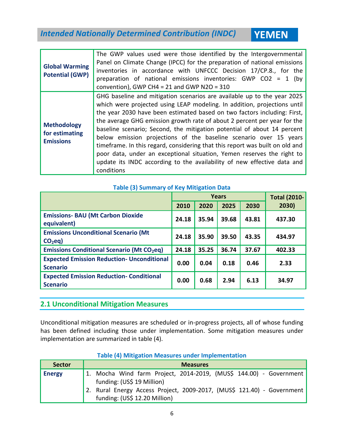| <b>Global Warming</b><br><b>Potential (GWP)</b>          | The GWP values used were those identified by the Intergovernmental<br>Panel on Climate Change (IPCC) for the preparation of national emissions<br>inventories in accordance with UNFCCC Decision 17/CP.8., for the<br>preparation of national emissions inventories: GWP CO2 = 1 (by<br>convention), GWP CH4 = 21 and GWP N2O = $310$                                                                                                                                                                                                                                                                                                                                                                          |
|----------------------------------------------------------|----------------------------------------------------------------------------------------------------------------------------------------------------------------------------------------------------------------------------------------------------------------------------------------------------------------------------------------------------------------------------------------------------------------------------------------------------------------------------------------------------------------------------------------------------------------------------------------------------------------------------------------------------------------------------------------------------------------|
| <b>Methodology</b><br>for estimating<br><b>Emissions</b> | GHG baseline and mitigation scenarios are available up to the year 2025<br>which were projected using LEAP modeling. In addition, projections until<br>the year 2030 have been estimated based on two factors including: First,<br>the average GHG emission growth rate of about 2 percent per year for the<br>baseline scenario; Second, the mitigation potential of about 14 percent<br>below emission projections of the baseline scenario over 15 years<br>timeframe. In this regard, considering that this report was built on old and<br>poor data, under an exceptional situation, Yemen reserves the right to<br>update its INDC according to the availability of new effective data and<br>conditions |

#### **Table (3) Summary of Key Mitigation Data**

|                                                                      |       | <b>Years</b> | <b>Total (2010-</b> |       |        |
|----------------------------------------------------------------------|-------|--------------|---------------------|-------|--------|
|                                                                      | 2010  | 2020         | 2025                | 2030  | 2030)  |
| <b>Emissions- BAU (Mt Carbon Dioxide</b><br>equivalent)              | 24.18 | 35.94        | 39.68               | 43.81 | 437.30 |
| <b>Emissions Unconditional Scenario (Mt</b><br>CO <sub>2</sub> eq    | 24.18 | 35.90        | 39.50               | 43.35 | 434.97 |
| <b>Emissions Conditional Scenario (Mt CO2eq)</b>                     | 24.18 | 35.25        | 36.74               | 37.67 | 402.33 |
| <b>Expected Emission Reduction- Unconditional</b><br><b>Scenario</b> | 0.00  | 0.04         | 0.18                | 0.46  | 2.33   |
| <b>Expected Emission Reduction- Conditional</b><br><b>Scenario</b>   | 0.00  | 0.68         | 2.94                | 6.13  | 34.97  |

#### **2.1 Unconditional Mitigation Measures**

Unconditional mitigation measures are scheduled or in-progress projects, all of whose funding has been defined including those under implementation. Some mitigation measures under implementation are summarized in table (4).

| <b>Table (4) Mitigation Measures under Implementation</b> |  |  |  |
|-----------------------------------------------------------|--|--|--|
|-----------------------------------------------------------|--|--|--|

| <b>Sector</b> | <b>Measures</b>                                                        |  |  |  |  |  |  |  |  |  |
|---------------|------------------------------------------------------------------------|--|--|--|--|--|--|--|--|--|
| <b>Energy</b> | 1. Mocha Wind farm Project, 2014-2019, (MUS\$ 144.00) - Government     |  |  |  |  |  |  |  |  |  |
|               | funding: (US\$ 19 Million)                                             |  |  |  |  |  |  |  |  |  |
|               | 2. Rural Energy Access Project, 2009-2017, (MUS\$ 121.40) - Government |  |  |  |  |  |  |  |  |  |
|               | funding: (US\$ 12.20 Million)                                          |  |  |  |  |  |  |  |  |  |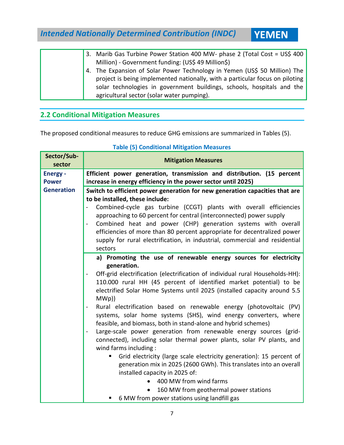3. Marib Gas Turbine Power Station 400 MW- phase 2 (Total Cost = US\$ 400 Million) - Government funding: (US\$ 49 Million\$) 4. The Expansion of Solar Power Technology in Yemen (US\$ 50 Million) The project is being implemented nationally, with a particular focus on piloting solar technologies in government buildings, schools, hospitals and the agricultural sector (solar water pumping).

#### **2.2 Conditional Mitigation Measures**

The proposed conditional measures to reduce GHG emissions are summarized in Tables (5).

| Sector/Sub-<br>sector | <b>Mitigation Measures</b>                                                                                                         |  |  |  |  |  |  |  |  |
|-----------------------|------------------------------------------------------------------------------------------------------------------------------------|--|--|--|--|--|--|--|--|
| <b>Energy -</b>       | Efficient power generation, transmission and distribution. (15 percent                                                             |  |  |  |  |  |  |  |  |
| <b>Power</b>          | increase in energy efficiency in the power sector until 2025)                                                                      |  |  |  |  |  |  |  |  |
| <b>Generation</b>     | Switch to efficient power generation for new generation capacities that are                                                        |  |  |  |  |  |  |  |  |
|                       | to be installed, these include:                                                                                                    |  |  |  |  |  |  |  |  |
|                       | Combined-cycle gas turbine (CCGT) plants with overall efficiencies                                                                 |  |  |  |  |  |  |  |  |
|                       | approaching to 60 percent for central (interconnected) power supply                                                                |  |  |  |  |  |  |  |  |
|                       | Combined heat and power (CHP) generation systems with overall<br>$\overline{\phantom{0}}$                                          |  |  |  |  |  |  |  |  |
|                       | efficiencies of more than 80 percent appropriate for decentralized power                                                           |  |  |  |  |  |  |  |  |
|                       | supply for rural electrification, in industrial, commercial and residential                                                        |  |  |  |  |  |  |  |  |
|                       | sectors                                                                                                                            |  |  |  |  |  |  |  |  |
|                       | a) Promoting the use of renewable energy sources for electricity                                                                   |  |  |  |  |  |  |  |  |
|                       | generation.                                                                                                                        |  |  |  |  |  |  |  |  |
|                       | Off-grid electrification (electrification of individual rural Households-HH):<br>$\overline{\phantom{0}}$                          |  |  |  |  |  |  |  |  |
|                       | 110.000 rural HH (45 percent of identified market potential) to be                                                                 |  |  |  |  |  |  |  |  |
|                       | electrified Solar Home Systems until 2025 (installed capacity around 5.5                                                           |  |  |  |  |  |  |  |  |
|                       | MWD)                                                                                                                               |  |  |  |  |  |  |  |  |
|                       | Rural electrification based on renewable energy (photovoltaic (PV)                                                                 |  |  |  |  |  |  |  |  |
|                       | systems, solar home systems (SHS), wind energy converters, where<br>feasible, and biomass, both in stand-alone and hybrid schemes) |  |  |  |  |  |  |  |  |
|                       | Large-scale power generation from renewable energy sources (grid-<br>÷                                                             |  |  |  |  |  |  |  |  |
|                       | connected), including solar thermal power plants, solar PV plants, and                                                             |  |  |  |  |  |  |  |  |
|                       | wind farms including:                                                                                                              |  |  |  |  |  |  |  |  |
|                       | Grid electricity (large scale electricity generation): 15 percent of<br>ш                                                          |  |  |  |  |  |  |  |  |
|                       | generation mix in 2025 (2600 GWh). This translates into an overall                                                                 |  |  |  |  |  |  |  |  |
|                       | installed capacity in 2025 of:                                                                                                     |  |  |  |  |  |  |  |  |
|                       | 400 MW from wind farms                                                                                                             |  |  |  |  |  |  |  |  |
|                       | 160 MW from geothermal power stations                                                                                              |  |  |  |  |  |  |  |  |
|                       | 6 MW from power stations using landfill gas                                                                                        |  |  |  |  |  |  |  |  |

#### **Table (5) Conditional Mitigation Measures**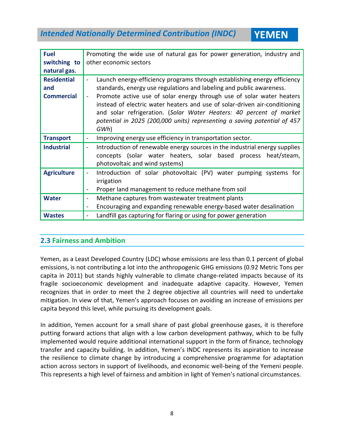| <b>Fuel</b><br>switching to                                    | Promoting the wide use of natural gas for power generation, industry and<br>other economic sectors                                                                                                                                                                                                                                                                                                                                                                 |
|----------------------------------------------------------------|--------------------------------------------------------------------------------------------------------------------------------------------------------------------------------------------------------------------------------------------------------------------------------------------------------------------------------------------------------------------------------------------------------------------------------------------------------------------|
| natural gas.<br><b>Residential</b><br>and<br><b>Commercial</b> | Launch energy-efficiency programs through establishing energy efficiency<br>standards, energy use regulations and labeling and public awareness.<br>Promote active use of solar energy through use of solar water heaters<br>instead of electric water heaters and use of solar-driven air-conditioning<br>and solar refrigeration. (Solar Water Heaters: 40 percent of market<br>potential in 2025 (200,000 units) representing a saving potential of 457<br>GWh) |
| <b>Transport</b>                                               | Improving energy use efficiency in transportation sector.<br>$\qquad \qquad \blacksquare$                                                                                                                                                                                                                                                                                                                                                                          |
| <b>Industrial</b>                                              | Introduction of renewable energy sources in the industrial energy supplies<br>$\blacksquare$<br>concepts (solar water heaters, solar based process heat/steam,<br>photovoltaic and wind systems)                                                                                                                                                                                                                                                                   |
| <b>Agriculture</b>                                             | Introduction of solar photovoltaic (PV) water pumping systems for<br>$\blacksquare$<br>irrigation<br>Proper land management to reduce methane from soil                                                                                                                                                                                                                                                                                                            |
| <b>Water</b>                                                   | Methane captures from wastewater treatment plants<br>$\blacksquare$<br>Encouraging and expanding renewable energy-based water desalination                                                                                                                                                                                                                                                                                                                         |
| <b>Wastes</b>                                                  | Landfill gas capturing for flaring or using for power generation                                                                                                                                                                                                                                                                                                                                                                                                   |

#### **2.3 Fairness and Ambition**

Yemen, as a Least Developed Country (LDC) whose emissions are less than 0.1 percent of global emissions, is not contributing a lot into the anthropogenic GHG emissions (0.92 Metric Tons per capita in 2011) but stands highly vulnerable to climate change-related impacts because of its fragile socioeconomic development and inadequate adaptive capacity. However, Yemen recognizes that in order to meet the 2 degree objective all countries will need to undertake mitigation. In view of that, Yemen's approach focuses on avoiding an increase of emissions per capita beyond this level, while pursuing its development goals.

In addition, Yemen account for a small share of past global greenhouse gases, it is therefore putting forward actions that align with a low carbon development pathway, which to be fully implemented would require additional international support in the form of finance, technology transfer and capacity building. In addition, Yemen's INDC represents its aspiration to increase the resilience to climate change by introducing a comprehensive programme for adaptation action across sectors in support of livelihoods, and economic well-being of the Yemeni people. This represents a high level of fairness and ambition in light of Yemen's national circumstances.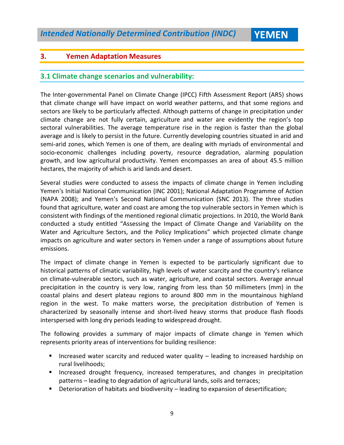#### **3. Yemen Adaptation Measures**

#### **3.1 Climate change scenarios and vulnerability:**

The Inter-governmental Panel on Climate Change (IPCC) Fifth Assessment Report (AR5) shows that climate change will have impact on world weather patterns, and that some regions and sectors are likely to be particularly affected. Although patterns of change in precipitation under climate change are not fully certain, agriculture and water are evidently the region's top sectoral vulnerabilities. The average temperature rise in the region is faster than the global average and is likely to persist in the future. Currently developing countries situated in arid and semi-arid zones, which Yemen is one of them, are dealing with myriads of environmental and socio-economic challenges including poverty, resource degradation, alarming population growth, and low agricultural productivity. Yemen encompasses an area of about 45.5 million hectares, the majority of which is arid lands and desert.

Several studies were conducted to assess the impacts of climate change in Yemen including Yemen's Initial National Communication (INC 2001); National Adaptation Programme of Action (NAPA 2008); and Yemen's Second National Communication (SNC 2013). The three studies found that agriculture, water and coast are among the top vulnerable sectors in Yemen which is consistent with findings of the mentioned regional climatic projections. In 2010, the World Bank conducted a study entitled "Assessing the Impact of Climate Change and Variability on the Water and Agriculture Sectors, and the Policy Implications" which projected climate change impacts on agriculture and water sectors in Yemen under a range of assumptions about future emissions.

The impact of climate change in Yemen is expected to be particularly significant due to historical patterns of climatic variability, high levels of water scarcity and the country's reliance on climate-vulnerable sectors, such as water, agriculture, and coastal sectors. Average annual precipitation in the country is very low, ranging from less than 50 millimeters (mm) in the coastal plains and desert plateau regions to around 800 mm in the mountainous highland region in the west. To make matters worse, the precipitation distribution of Yemen is characterized by seasonally intense and short-lived heavy storms that produce flash floods interspersed with long dry periods leading to widespread drought.

The following provides a summary of major impacts of climate change in Yemen which represents priority areas of interventions for building resilience:

- Increased water scarcity and reduced water quality leading to increased hardship on rural livelihoods;
- **Increased drought frequency, increased temperatures, and changes in precipitation** patterns – leading to degradation of agricultural lands, soils and terraces;
- Deterioration of habitats and biodiversity leading to expansion of desertification;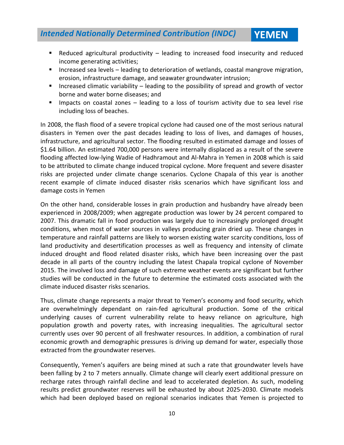- Reduced agricultural productivity leading to increased food insecurity and reduced income generating activities;
- **Increased sea levels leading to deterioration of wetlands, coastal mangrove migration,** erosion, infrastructure damage, and seawater groundwater intrusion;
- Increased climatic variability leading to the possibility of spread and growth of vector borne and water borne diseases; and
- Impacts on coastal zones leading to a loss of tourism activity due to sea level rise including loss of beaches.

In 2008, the flash flood of a severe tropical cyclone had caused one of the most serious natural disasters in Yemen over the past decades leading to loss of lives, and damages of houses, infrastructure, and agricultural sector. The flooding resulted in estimated damage and losses of \$1.64 billion. An estimated 700,000 persons were internally displaced as a result of the severe flooding affected low-lying Wadie of Hadhramout and Al-Mahra in Yemen in 2008 which is said to be attributed to climate change induced tropical cyclone. More frequent and severe disaster risks are projected under climate change scenarios. Cyclone Chapala of this year is another recent example of climate induced disaster risks scenarios which have significant loss and damage costs in Yemen

On the other hand, considerable losses in grain production and husbandry have already been experienced in 2008/2009; when aggregate production was lower by 24 percent compared to 2007. This dramatic fall in food production was largely due to increasingly prolonged drought conditions, when most of water sources in valleys producing grain dried up. These changes in temperature and rainfall patterns are likely to worsen existing water scarcity conditions, loss of land productivity and desertification processes as well as frequency and intensity of climate induced drought and flood related disaster risks, which have been increasing over the past decade in all parts of the country including the latest Chapala tropical cyclone of November 2015. The involved loss and damage of such extreme weather events are significant but further studies will be conducted in the future to determine the estimated costs associated with the climate induced disaster risks scenarios.

Thus, climate change represents a major threat to Yemen's economy and food security, which are overwhelmingly dependant on rain-fed agricultural production. Some of the critical underlying causes of current vulnerability relate to heavy reliance on agriculture, high population growth and poverty rates, with increasing inequalities. The agricultural sector currently uses over 90 percent of all freshwater resources. In addition, a combination of rural economic growth and demographic pressures is driving up demand for water, especially those extracted from the groundwater reserves.

Consequently, Yemen's aquifers are being mined at such a rate that groundwater levels have been falling by 2 to 7 meters annually. Climate change will clearly exert additional pressure on recharge rates through rainfall decline and lead to accelerated depletion. As such, modeling results predict groundwater reserves will be exhausted by about 2025-2030. Climate models which had been deployed based on regional scenarios indicates that Yemen is projected to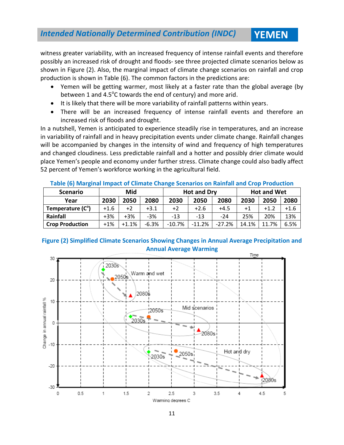witness greater variability, with an increased frequency of intense rainfall events and therefore possibly an increased risk of drought and floods- see three projected climate scenarios below as shown in Figure (2). Also, the marginal impact of climate change scenarios on rainfall and crop production is shown in Table (6). The common factors in the predictions are:

- Yemen will be getting warmer, most likely at a faster rate than the global average (by between 1 and 4.5 $^{\circ}$ C towards the end of century) and more arid.
- It is likely that there will be more variability of rainfall patterns within years.
- There will be an increased frequency of intense rainfall events and therefore an increased risk of floods and drought.

In a nutshell, Yemen is anticipated to experience steadily rise in temperatures, and an increase in variability of rainfall and in heavy precipitation events under climate change. Rainfall changes will be accompanied by changes in the intensity of wind and frequency of high temperatures and changed cloudiness. Less predictable rainfall and a hotter and possibly drier climate would place Yemen's people and economy under further stress. Climate change could also badly affect 52 percent of Yemen's workforce working in the agricultural field.

| Table (0) Marginal impact of Climate Change Scenarios on Namiali and Crop Production |        |         |         |                    |        |           |                    |        |        |
|--------------------------------------------------------------------------------------|--------|---------|---------|--------------------|--------|-----------|--------------------|--------|--------|
| <b>Scenario</b>                                                                      | Mid    |         |         | <b>Hot and Dry</b> |        |           | <b>Hot and Wet</b> |        |        |
| Year                                                                                 | 2030   | 2050    | 2080    | 2030               | 2050   | 2080      | 2030               | 2050   | 2080   |
| Temperature (C°)                                                                     | $+1.6$ | $+2$    | $+3.1$  | $+2$               | $+2.6$ | $+4.5$    | $+1$               | $+1.2$ | $+1.6$ |
| Rainfall                                                                             | $+3%$  | $+3%$   | $-3%$   | $-13$              | $-13$  | $-24$     | 25%                | 20%    | 13%    |
| <b>Crop Production</b>                                                               | $+1%$  | $+1.1%$ | $-6.3%$ | $-10.7%$           | -11.2% | $-27.2\%$ | 14.1%              | 11.7%  | 6.5%   |

#### **Table (6) Marginal Impact of Climate Change Scenarios on Rainfall and Crop Production**

#### **Figure (2) Simplified Climate Scenarios Showing Changes in Annual Average Precipitation and Annual Average Warming**

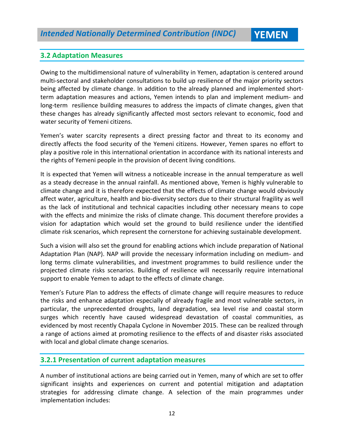#### **3.2 Adaptation Measures**

Owing to the multidimensional nature of vulnerability in Yemen, adaptation is centered around multi-sectoral and stakeholder consultations to build up resilience of the major priority sectors being affected by climate change. In addition to the already planned and implemented shortterm adaptation measures and actions, Yemen intends to plan and implement medium- and long-term resilience building measures to address the impacts of climate changes, given that these changes has already significantly affected most sectors relevant to economic, food and water security of Yemeni citizens.

Yemen's water scarcity represents a direct pressing factor and threat to its economy and directly affects the food security of the Yemeni citizens. However, Yemen spares no effort to play a positive role in this international orientation in accordance with its national interests and the rights of Yemeni people in the provision of decent living conditions.

It is expected that Yemen will witness a noticeable increase in the annual temperature as well as a steady decrease in the annual rainfall. As mentioned above, Yemen is highly vulnerable to climate change and it is therefore expected that the effects of climate change would obviously affect water, agriculture, health and bio-diversity sectors due to their structural fragility as well as the lack of institutional and technical capacities including other necessary means to cope with the effects and minimize the risks of climate change. This document therefore provides a vision for adaptation which would set the ground to build resilience under the identified climate risk scenarios, which represent the cornerstone for achieving sustainable development.

Such a vision will also set the ground for enabling actions which include preparation of National Adaptation Plan (NAP). NAP will provide the necessary information including on medium- and long terms climate vulnerabilities, and investment programmes to build resilience under the projected climate risks scenarios. Building of resilience will necessarily require international support to enable Yemen to adapt to the effects of climate change.

Yemen's Future Plan to address the effects of climate change will require measures to reduce the risks and enhance adaptation especially of already fragile and most vulnerable sectors, in particular, the unprecedented droughts, land degradation, sea level rise and coastal storm surges which recently have caused widespread devastation of coastal communities, as evidenced by most recently Chapala Cyclone in November 2015. These can be realized through a range of actions aimed at promoting resilience to the effects of and disaster risks associated with local and global climate change scenarios.

#### **3.2.1 Presentation of current adaptation measures**

A number of institutional actions are being carried out in Yemen, many of which are set to offer significant insights and experiences on current and potential mitigation and adaptation strategies for addressing climate change. A selection of the main programmes under implementation includes: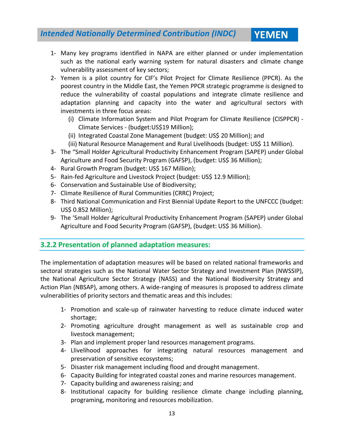- 1- Many key programs identified in NAPA are either planned or under implementation such as the national early warning system for natural disasters and climate change vulnerability assessment of key sectors;
- 2- Yemen is a pilot country for CIF's Pilot Project for Climate Resilience (PPCR). As the poorest country in the Middle East, the Yemen PPCR strategic programme is designed to reduce the vulnerability of coastal populations and integrate climate resilience and adaptation planning and capacity into the water and agricultural sectors with investments in three focus areas:
	- (i) Climate Information System and Pilot Program for Climate Resilience (CISPPCR) Climate Services - (budget:US\$19 Million);
	- (ii) Integrated Coastal Zone Management (budget: US\$ 20 Million); and
	- (iii) Natural Resource Management and Rural Livelihoods (budget: US\$ 11 Million).
- 3- The "Small Holder Agricultural Productivity Enhancement Program (SAPEP) under Global Agriculture and Food Security Program (GAFSP), (budget: US\$ 36 Million);
- 4- Rural Growth Program (budget: US\$ 167 Million);
- 5- Rain-fed Agriculture and Livestock Project (budget: US\$ 12.9 Million);
- 6- Conservation and Sustainable Use of Biodiversity;
- 7- Climate Resilience of Rural Communities (CRRC) Project;
- 8- Third National Communication and First Biennial Update Report to the UNFCCC (budget: US\$ 0.852 Million);
- 9- The 'Small Holder Agricultural Productivity Enhancement Program (SAPEP) under Global Agriculture and Food Security Program (GAFSP), (budget: US\$ 36 Million).

#### **3.2.2 Presentation of planned adaptation measures:**

The implementation of adaptation measures will be based on related national frameworks and sectoral strategies such as the National Water Sector Strategy and Investment Plan (NWSSIP), the National Agriculture Sector Strategy (NASS) and the National Biodiversity Strategy and Action Plan (NBSAP), among others. A wide-ranging of measures is proposed to address climate vulnerabilities of priority sectors and thematic areas and this includes:

- 1- Promotion and scale-up of rainwater harvesting to reduce climate induced water shortage;
- 2- Promoting agriculture drought management as well as sustainable crop and livestock management;
- 3- Plan and implement proper land resources management programs.
- 4- Llivelihood approaches for integrating natural resources management and preservation of sensitive ecosystems;
- 5- Disaster risk management including flood and drought management.
- 6- Capacity Building for integrated coastal zones and marine resources management.
- 7- Capacity building and awareness raising; and
- 8- Institutional capacity for building resilience climate change including planning, programing, monitoring and resources mobilization.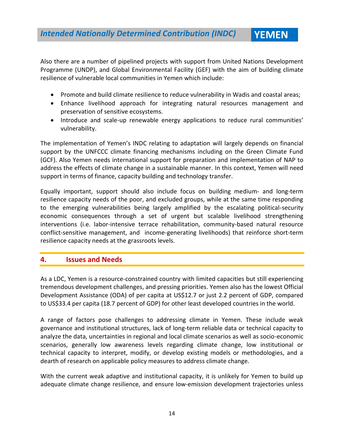Also there are a number of pipelined projects with support from United Nations Development Programme (UNDP), and Global Environmental Facility (GEF) with the aim of building climate resilience of vulnerable local communities in Yemen which include:

- Promote and build climate resilience to reduce vulnerability in Wadis and coastal areas;
- Enhance livelihood approach for integrating natural resources management and preservation of sensitive ecosystems.
- Introduce and scale-up renewable energy applications to reduce rural communities' vulnerability.

The implementation of Yemen's INDC relating to adaptation will largely depends on financial support by the UNFCCC climate financing mechanisms including on the Green Climate Fund (GCF). Also Yemen needs international support for preparation and implementation of NAP to address the effects of climate change in a sustainable manner. In this context, Yemen will need support in terms of finance, capacity building and technology transfer.

Equally important, support should also include focus on building medium- and long-term resilience capacity needs of the poor, and excluded groups, while at the same time responding to the emerging vulnerabilities being largely amplified by the escalating political-security economic consequences through a set of urgent but scalable livelihood strengthening interventions (i.e. labor-intensive terrace rehabilitation, community-based natural resource conflict-sensitive management, and income-generating livelihoods) that reinforce short-term resilience capacity needs at the grassroots levels.

#### **4. Issues and Needs**

As a LDC, Yemen is a resource‐constrained country with limited capacities but still experiencing tremendous development challenges, and pressing priorities. Yemen also has the lowest Official Development Assistance (ODA) of per capita at US\$12.7 or just 2.2 percent of GDP, compared to US\$33.4 per capita (18.7 percent of GDP) for other least developed countries in the world.

A range of factors pose challenges to addressing climate in Yemen. These include weak governance and institutional structures, lack of long-term reliable data or technical capacity to analyze the data, uncertainties in regional and local climate scenarios as well as socio-economic scenarios, generally low awareness levels regarding climate change, low institutional or technical capacity to interpret, modify, or develop existing models or methodologies, and a dearth of research on applicable policy measures to address climate change.

With the current weak adaptive and institutional capacity, it is unlikely for Yemen to build up adequate climate change resilience, and ensure low-emission development trajectories unless